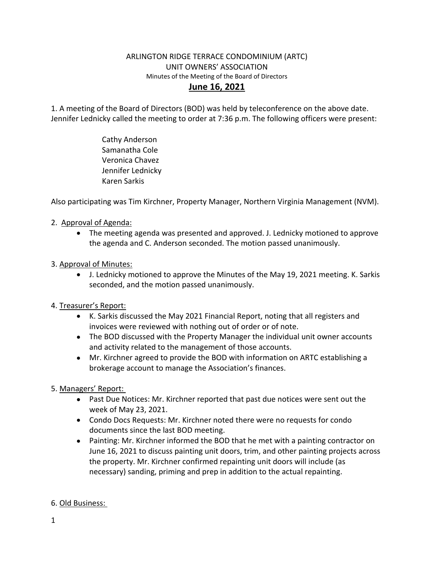## ARLINGTON RIDGE TERRACE CONDOMINIUM (ARTC) UNIT OWNERS' ASSOCIATION Minutes of the Meeting of the Board of Directors **June 16, 2021**

1. A meeting of the Board of Directors (BOD) was held by teleconference on the above date. Jennifer Lednicky called the meeting to order at 7:36 p.m. The following officers were present:

> Cathy Anderson Samanatha Cole Veronica Chavez Jennifer Lednicky Karen Sarkis

Also participating was Tim Kirchner, Property Manager, Northern Virginia Management (NVM).

- 2. Approval of Agenda:
	- The meeting agenda was presented and approved. J. Lednicky motioned to approve the agenda and C. Anderson seconded. The motion passed unanimously.

## 3. Approval of Minutes:

 J. Lednicky motioned to approve the Minutes of the May 19, 2021 meeting. K. Sarkis seconded, and the motion passed unanimously.

## 4. Treasurer's Report:

- K. Sarkis discussed the May 2021 Financial Report, noting that all registers and invoices were reviewed with nothing out of order or of note.
- The BOD discussed with the Property Manager the individual unit owner accounts and activity related to the management of those accounts.
- Mr. Kirchner agreed to provide the BOD with information on ARTC establishing a brokerage account to manage the Association's finances.
- 5. Managers' Report:
	- Past Due Notices: Mr. Kirchner reported that past due notices were sent out the week of May 23, 2021.
	- Condo Docs Requests: Mr. Kirchner noted there were no requests for condo documents since the last BOD meeting.
	- Painting: Mr. Kirchner informed the BOD that he met with a painting contractor on June 16, 2021 to discuss painting unit doors, trim, and other painting projects across the property. Mr. Kirchner confirmed repainting unit doors will include (as necessary) sanding, priming and prep in addition to the actual repainting.

## 6. Old Business: